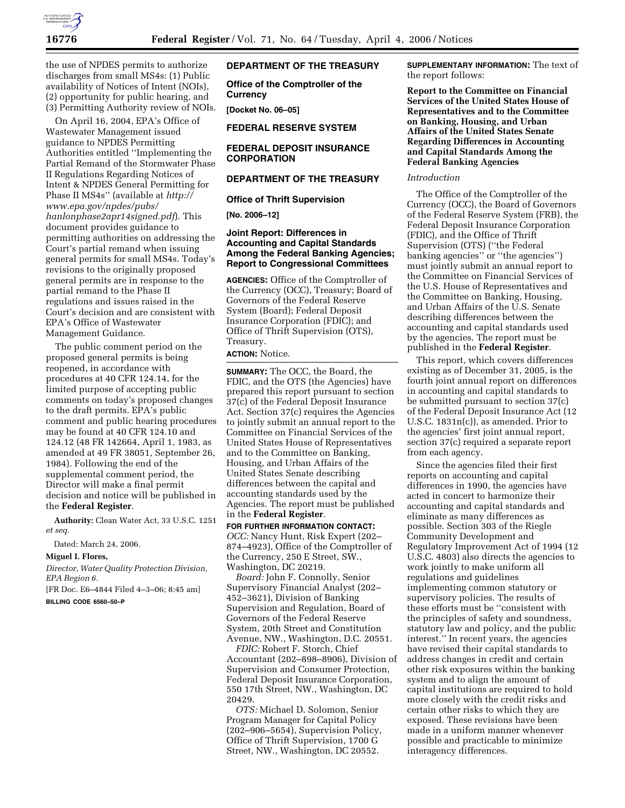

the use of NPDES permits to authorize discharges from small MS4s: (1) Public availability of Notices of Intent (NOIs), (2) opportunity for public hearing, and (3) Permitting Authority review of NOIs.

On April 16, 2004, EPA's Office of Wastewater Management issued guidance to NPDES Permitting Authorities entitled ''Implementing the Partial Remand of the Stormwater Phase II Regulations Regarding Notices of Intent & NPDES General Permitting for Phase II MS4s'' (available at *http:// www.epa.gov/npdes/pubs/ hanlonphase2apr14signed.pdf*). This document provides guidance to permitting authorities on addressing the Court's partial remand when issuing general permits for small MS4s. Today's revisions to the originally proposed general permits are in response to the partial remand to the Phase II regulations and issues raised in the Court's decision and are consistent with EPA's Office of Wastewater Management Guidance.

The public comment period on the proposed general permits is being reopened, in accordance with procedures at 40 CFR 124.14, for the limited purpose of accepting public comments on today's proposed changes to the draft permits. EPA's public comment and public hearing procedures may be found at 40 CFR 124.10 and 124.12 (48 FR 142664, April 1, 1983, as amended at 49 FR 38051, September 26, 1984). Following the end of the supplemental comment period, the Director will make a final permit decision and notice will be published in the **Federal Register**.

**Authority:** Clean Water Act, 33 U.S.C. 1251 *et seq.* 

Dated: March 24, 2006.

#### **Miguel I. Flores,**

*Director, Water Quality Protection Division, EPA Region 6.* 

[FR Doc. E6–4844 Filed 4–3–06; 8:45 am]

**BILLING CODE 6560–50–P** 

### **DEPARTMENT OF THE TREASURY**

**Office of the Comptroller of the Currency** 

**[Docket No. 06–05]** 

**FEDERAL RESERVE SYSTEM** 

### **FEDERAL DEPOSIT INSURANCE CORPORATION**

### **DEPARTMENT OF THE TREASURY**

**Office of Thrift Supervision** 

**[No. 2006–12]** 

## **Joint Report: Differences in Accounting and Capital Standards Among the Federal Banking Agencies; Report to Congressional Committees**

**AGENCIES:** Office of the Comptroller of the Currency (OCC), Treasury; Board of Governors of the Federal Reserve System (Board); Federal Deposit Insurance Corporation (FDIC); and Office of Thrift Supervision (OTS), Treasury.

# **ACTION:** Notice.

**SUMMARY:** The OCC, the Board, the FDIC, and the OTS (the Agencies) have prepared this report pursuant to section 37(c) of the Federal Deposit Insurance Act. Section 37(c) requires the Agencies to jointly submit an annual report to the Committee on Financial Services of the United States House of Representatives and to the Committee on Banking, Housing, and Urban Affairs of the United States Senate describing differences between the capital and accounting standards used by the Agencies. The report must be published in the **Federal Register**.

**FOR FURTHER INFORMATION CONTACT:**  *OCC:* Nancy Hunt, Risk Expert (202– 874–4923), Office of the Comptroller of the Currency, 250 E Street, SW., Washington, DC 20219.

*Board:* John F. Connolly, Senior Supervisory Financial Analyst (202– 452–3621), Division of Banking Supervision and Regulation, Board of Governors of the Federal Reserve System, 20th Street and Constitution Avenue, NW., Washington, D.C. 20551.

*FDIC:* Robert F. Storch, Chief Accountant (202–898–8906), Division of Supervision and Consumer Protection, Federal Deposit Insurance Corporation, 550 17th Street, NW., Washington, DC 20429.

*OTS:* Michael D. Solomon, Senior Program Manager for Capital Policy (202–906–5654), Supervision Policy, Office of Thrift Supervision, 1700 G Street, NW., Washington, DC 20552.

**SUPPLEMENTARY INFORMATION:** The text of the report follows:

**Report to the Committee on Financial Services of the United States House of Representatives and to the Committee on Banking, Housing, and Urban Affairs of the United States Senate Regarding Differences in Accounting and Capital Standards Among the Federal Banking Agencies** 

### *Introduction*

The Office of the Comptroller of the Currency (OCC), the Board of Governors of the Federal Reserve System (FRB), the Federal Deposit Insurance Corporation (FDIC), and the Office of Thrift Supervision (OTS) (''the Federal banking agencies'' or ''the agencies'') must jointly submit an annual report to the Committee on Financial Services of the U.S. House of Representatives and the Committee on Banking, Housing, and Urban Affairs of the U.S. Senate describing differences between the accounting and capital standards used by the agencies. The report must be published in the **Federal Register**.

This report, which covers differences existing as of December 31, 2005, is the fourth joint annual report on differences in accounting and capital standards to be submitted pursuant to section 37(c) of the Federal Deposit Insurance Act (12 U.S.C. 1831n(c)), as amended. Prior to the agencies' first joint annual report, section 37(c) required a separate report from each agency.

Since the agencies filed their first reports on accounting and capital differences in 1990, the agencies have acted in concert to harmonize their accounting and capital standards and eliminate as many differences as possible. Section 303 of the Riegle Community Development and Regulatory Improvement Act of 1994 (12 U.S.C. 4803) also directs the agencies to work jointly to make uniform all regulations and guidelines implementing common statutory or supervisory policies. The results of these efforts must be ''consistent with the principles of safety and soundness, statutory law and policy, and the public interest.'' In recent years, the agencies have revised their capital standards to address changes in credit and certain other risk exposures within the banking system and to align the amount of capital institutions are required to hold more closely with the credit risks and certain other risks to which they are exposed. These revisions have been made in a uniform manner whenever possible and practicable to minimize interagency differences.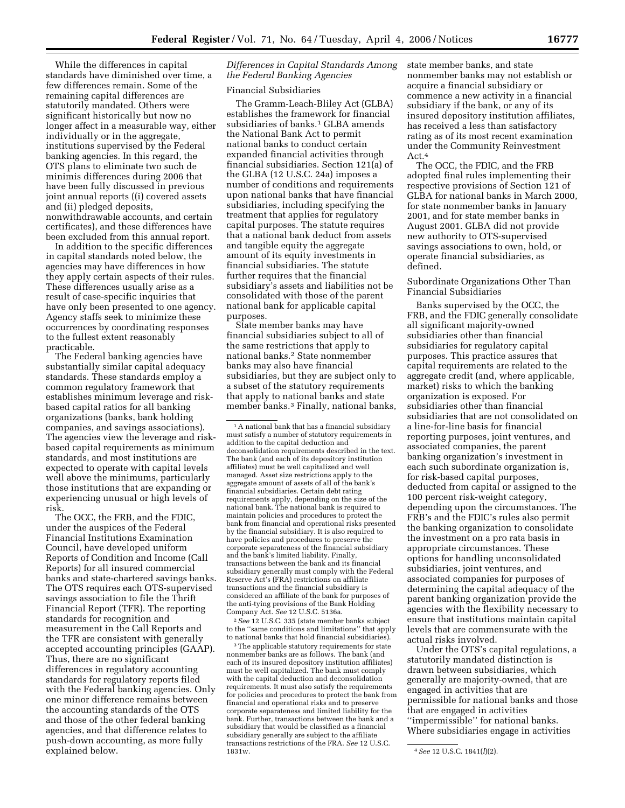While the differences in capital standards have diminished over time, a few differences remain. Some of the remaining capital differences are statutorily mandated. Others were significant historically but now no longer affect in a measurable way, either individually or in the aggregate, institutions supervised by the Federal banking agencies. In this regard, the OTS plans to eliminate two such de minimis differences during 2006 that have been fully discussed in previous joint annual reports ((i) covered assets and (ii) pledged deposits, nonwithdrawable accounts, and certain certificates), and these differences have been excluded from this annual report.

In addition to the specific differences in capital standards noted below, the agencies may have differences in how they apply certain aspects of their rules. These differences usually arise as a result of case-specific inquiries that have only been presented to one agency. Agency staffs seek to minimize these occurrences by coordinating responses to the fullest extent reasonably practicable.

The Federal banking agencies have substantially similar capital adequacy standards. These standards employ a common regulatory framework that establishes minimum leverage and riskbased capital ratios for all banking organizations (banks, bank holding companies, and savings associations). The agencies view the leverage and riskbased capital requirements as minimum standards, and most institutions are expected to operate with capital levels well above the minimums, particularly those institutions that are expanding or experiencing unusual or high levels of risk.

The OCC, the FRB, and the FDIC, under the auspices of the Federal Financial Institutions Examination Council, have developed uniform Reports of Condition and Income (Call Reports) for all insured commercial banks and state-chartered savings banks. The OTS requires each OTS-supervised savings association to file the Thrift Financial Report (TFR). The reporting standards for recognition and measurement in the Call Reports and the TFR are consistent with generally accepted accounting principles (GAAP). Thus, there are no significant differences in regulatory accounting standards for regulatory reports filed with the Federal banking agencies. Only one minor difference remains between the accounting standards of the OTS and those of the other federal banking agencies, and that difference relates to push-down accounting, as more fully explained below.

*Differences in Capital Standards Among the Federal Banking Agencies* 

#### Financial Subsidiaries

The Gramm-Leach-Bliley Act (GLBA) establishes the framework for financial subsidiaries of banks.<sup>1</sup> GLBA amends the National Bank Act to permit national banks to conduct certain expanded financial activities through financial subsidiaries. Section 121(a) of the GLBA (12 U.S.C. 24a) imposes a number of conditions and requirements upon national banks that have financial subsidiaries, including specifying the treatment that applies for regulatory capital purposes. The statute requires that a national bank deduct from assets and tangible equity the aggregate amount of its equity investments in financial subsidiaries. The statute further requires that the financial subsidiary's assets and liabilities not be consolidated with those of the parent national bank for applicable capital purposes.

State member banks may have financial subsidiaries subject to all of the same restrictions that apply to national banks.2 State nonmember banks may also have financial subsidiaries, but they are subject only to a subset of the statutory requirements that apply to national banks and state member banks.3 Finally, national banks,

2*See* 12 U.S.C. 335 (state member banks subject to the ''same conditions and limitations'' that apply to national banks that hold financial subsidiaries).

<sup>3</sup>The applicable statutory requirements for state nonmember banks are as follows. The bank (and each of its insured depository institution affiliates) must be well capitalized. The bank must comply with the capital deduction and deconsolidation requirements. It must also satisfy the requirements for policies and procedures to protect the bank from financial and operational risks and to preserve corporate separateness and limited liability for the bank. Further, transactions between the bank and a subsidiary that would be classified as a financial subsidiary generally are subject to the affiliate transactions restrictions of the FRA. *See* 12 U.S.C.

state member banks, and state nonmember banks may not establish or acquire a financial subsidiary or commence a new activity in a financial subsidiary if the bank, or any of its insured depository institution affiliates, has received a less than satisfactory rating as of its most recent examination under the Community Reinvestment Act.4

The OCC, the FDIC, and the FRB adopted final rules implementing their respective provisions of Section 121 of GLBA for national banks in March 2000, for state nonmember banks in January 2001, and for state member banks in August 2001. GLBA did not provide new authority to OTS-supervised savings associations to own, hold, or operate financial subsidiaries, as defined.

Subordinate Organizations Other Than Financial Subsidiaries

Banks supervised by the OCC, the FRB, and the FDIC generally consolidate all significant majority-owned subsidiaries other than financial subsidiaries for regulatory capital purposes. This practice assures that capital requirements are related to the aggregate credit (and, where applicable, market) risks to which the banking organization is exposed. For subsidiaries other than financial subsidiaries that are not consolidated on a line-for-line basis for financial reporting purposes, joint ventures, and associated companies, the parent banking organization's investment in each such subordinate organization is, for risk-based capital purposes, deducted from capital or assigned to the 100 percent risk-weight category, depending upon the circumstances. The FRB's and the FDIC's rules also permit the banking organization to consolidate the investment on a pro rata basis in appropriate circumstances. These options for handling unconsolidated subsidiaries, joint ventures, and associated companies for purposes of determining the capital adequacy of the parent banking organization provide the agencies with the flexibility necessary to ensure that institutions maintain capital levels that are commensurate with the actual risks involved.

Under the OTS's capital regulations, a statutorily mandated distinction is drawn between subsidiaries, which generally are majority-owned, that are engaged in activities that are permissible for national banks and those that are engaged in activities ''impermissible'' for national banks. Where subsidiaries engage in activities

<sup>&</sup>lt;sup>1</sup> A national bank that has a financial subsidiary must satisfy a number of statutory requirements in addition to the capital deduction and deconsolidation requirements described in the text. The bank (and each of its depository institution affiliates) must be well capitalized and well managed. Asset size restrictions apply to the aggregate amount of assets of all of the bank's financial subsidiaries. Certain debt rating requirements apply, depending on the size of the national bank. The national bank is required to maintain policies and procedures to protect the bank from financial and operational risks presented by the financial subsidiary. It is also required to have policies and procedures to preserve the corporate separateness of the financial subsidiary and the bank's limited liability. Finally, transactions between the bank and its financial subsidiary generally must comply with the Federal Reserve Act's (FRA) restrictions on affiliate transactions and the financial subsidiary is considered an affiliate of the bank for purposes of the anti-tying provisions of the Bank Holding Company Act. *See* 12 U.S.C. 5136a.

<sup>1831</sup>w. 4*See* 12 U.S.C. 1841(*l*)(2).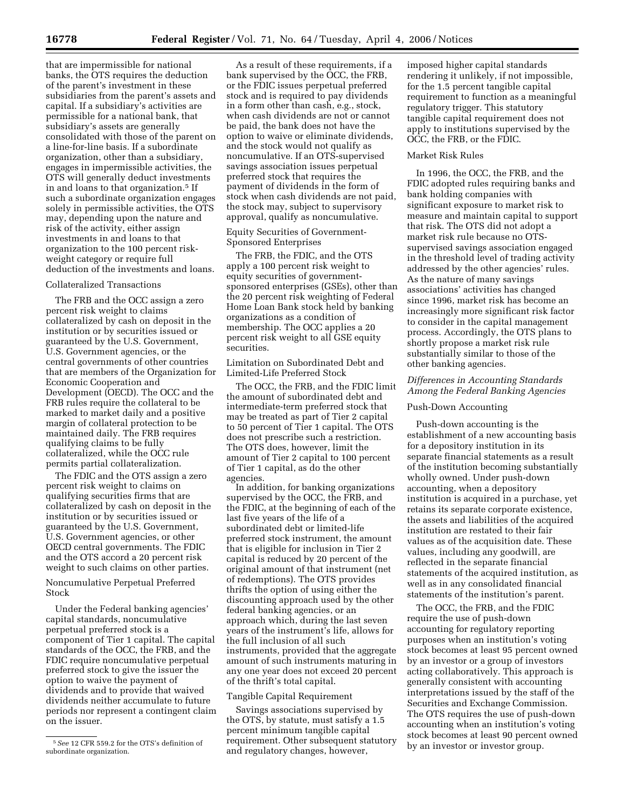that are impermissible for national banks, the OTS requires the deduction of the parent's investment in these subsidiaries from the parent's assets and capital. If a subsidiary's activities are permissible for a national bank, that subsidiary's assets are generally consolidated with those of the parent on a line-for-line basis. If a subordinate organization, other than a subsidiary, engages in impermissible activities, the OTS will generally deduct investments in and loans to that organization.5 If such a subordinate organization engages solely in permissible activities, the OTS may, depending upon the nature and risk of the activity, either assign investments in and loans to that organization to the 100 percent riskweight category or require full deduction of the investments and loans.

### Collateralized Transactions

The FRB and the OCC assign a zero percent risk weight to claims collateralized by cash on deposit in the institution or by securities issued or guaranteed by the U.S. Government, U.S. Government agencies, or the central governments of other countries that are members of the Organization for Economic Cooperation and Development (OECD). The OCC and the FRB rules require the collateral to be marked to market daily and a positive margin of collateral protection to be maintained daily. The FRB requires qualifying claims to be fully collateralized, while the OCC rule permits partial collateralization.

The FDIC and the OTS assign a zero percent risk weight to claims on qualifying securities firms that are collateralized by cash on deposit in the institution or by securities issued or guaranteed by the U.S. Government, U.S. Government agencies, or other OECD central governments. The FDIC and the OTS accord a 20 percent risk weight to such claims on other parties.

Noncumulative Perpetual Preferred Stock

Under the Federal banking agencies' capital standards, noncumulative perpetual preferred stock is a component of Tier 1 capital. The capital standards of the OCC, the FRB, and the FDIC require noncumulative perpetual preferred stock to give the issuer the option to waive the payment of dividends and to provide that waived dividends neither accumulate to future periods nor represent a contingent claim on the issuer.

As a result of these requirements, if a bank supervised by the OCC, the FRB, or the FDIC issues perpetual preferred stock and is required to pay dividends in a form other than cash, e.g., stock, when cash dividends are not or cannot be paid, the bank does not have the option to waive or eliminate dividends, and the stock would not qualify as noncumulative. If an OTS-supervised savings association issues perpetual preferred stock that requires the payment of dividends in the form of stock when cash dividends are not paid, the stock may, subject to supervisory approval, qualify as noncumulative.

# Equity Securities of Government-Sponsored Enterprises

The FRB, the FDIC, and the OTS apply a 100 percent risk weight to equity securities of governmentsponsored enterprises (GSEs), other than the 20 percent risk weighting of Federal Home Loan Bank stock held by banking organizations as a condition of membership. The OCC applies a 20 percent risk weight to all GSE equity securities.

## Limitation on Subordinated Debt and Limited-Life Preferred Stock

The OCC, the FRB, and the FDIC limit the amount of subordinated debt and intermediate-term preferred stock that may be treated as part of Tier 2 capital to 50 percent of Tier 1 capital. The OTS does not prescribe such a restriction. The OTS does, however, limit the amount of Tier 2 capital to 100 percent of Tier 1 capital, as do the other agencies.

In addition, for banking organizations supervised by the OCC, the FRB, and the FDIC, at the beginning of each of the last five years of the life of a subordinated debt or limited-life preferred stock instrument, the amount that is eligible for inclusion in Tier 2 capital is reduced by 20 percent of the original amount of that instrument (net of redemptions). The OTS provides thrifts the option of using either the discounting approach used by the other federal banking agencies, or an approach which, during the last seven years of the instrument's life, allows for the full inclusion of all such instruments, provided that the aggregate amount of such instruments maturing in any one year does not exceed 20 percent of the thrift's total capital.

### Tangible Capital Requirement

Savings associations supervised by the OTS, by statute, must satisfy a 1.5 percent minimum tangible capital requirement. Other subsequent statutory and regulatory changes, however,

imposed higher capital standards rendering it unlikely, if not impossible, for the 1.5 percent tangible capital requirement to function as a meaningful regulatory trigger. This statutory tangible capital requirement does not apply to institutions supervised by the OCC, the FRB, or the FDIC.

#### Market Risk Rules

In 1996, the OCC, the FRB, and the FDIC adopted rules requiring banks and bank holding companies with significant exposure to market risk to measure and maintain capital to support that risk. The OTS did not adopt a market risk rule because no OTSsupervised savings association engaged in the threshold level of trading activity addressed by the other agencies' rules. As the nature of many savings associations' activities has changed since 1996, market risk has become an increasingly more significant risk factor to consider in the capital management process. Accordingly, the OTS plans to shortly propose a market risk rule substantially similar to those of the other banking agencies.

# *Differences in Accounting Standards Among the Federal Banking Agencies*

#### Push-Down Accounting

Push-down accounting is the establishment of a new accounting basis for a depository institution in its separate financial statements as a result of the institution becoming substantially wholly owned. Under push-down accounting, when a depository institution is acquired in a purchase, yet retains its separate corporate existence, the assets and liabilities of the acquired institution are restated to their fair values as of the acquisition date. These values, including any goodwill, are reflected in the separate financial statements of the acquired institution, as well as in any consolidated financial statements of the institution's parent.

The OCC, the FRB, and the FDIC require the use of push-down accounting for regulatory reporting purposes when an institution's voting stock becomes at least 95 percent owned by an investor or a group of investors acting collaboratively. This approach is generally consistent with accounting interpretations issued by the staff of the Securities and Exchange Commission. The OTS requires the use of push-down accounting when an institution's voting stock becomes at least 90 percent owned by an investor or investor group.

<sup>5</sup>*See* 12 CFR 559.2 for the OTS's definition of subordinate organization.